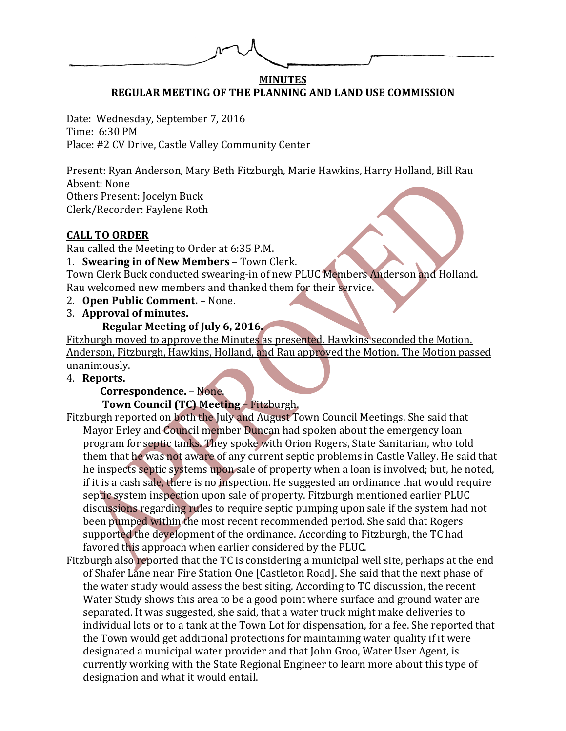## **MINUTES REGULAR MEETING OF THE PLANNING AND LAND USE COMMISSION**

Date: Wednesday, September 7, 2016 Time: 6:30 PM Place: #2 CV Drive, Castle Valley Community Center

Present: Ryan Anderson, Mary Beth Fitzburgh, Marie Hawkins, Harry Holland, Bill Rau Absent: None Others Present: Jocelyn Buck Clerk/Recorder: Faylene Roth

# **CALL TO ORDER**

Rau called the Meeting to Order at 6:35 P.M.

1. **Swearing in of New Members** – Town Clerk.

Town Clerk Buck conducted swearing-in of new PLUC Members Anderson and Holland. Rau welcomed new members and thanked them for their service.

- 2. **Open Public Comment.** None.
- 3. **Approval of minutes.**

# **Regular Meeting of July 6, 2016.**

Fitzburgh moved to approve the Minutes as presented. Hawkins seconded the Motion. Anderson, Fitzburgh, Hawkins, Holland, and Rau approved the Motion. The Motion passed unanimously.

## 4. **Reports.**

 **Correspondence.** – None.

#### **Town Council (TC) Meeting** – Fitzburgh.

- Fitzburgh reported on both the July and August Town Council Meetings. She said that Mayor Erley and Council member Duncan had spoken about the emergency loan program for septic tanks. They spoke with Orion Rogers, State Sanitarian, who told them that he was not aware of any current septic problems in Castle Valley. He said that he inspects septic systems upon sale of property when a loan is involved; but, he noted, if it is a cash sale, there is no inspection. He suggested an ordinance that would require septic system inspection upon sale of property. Fitzburgh mentioned earlier PLUC discussions regarding rules to require septic pumping upon sale if the system had not been pumped within the most recent recommended period. She said that Rogers supported the development of the ordinance. According to Fitzburgh, the TC had favored this approach when earlier considered by the PLUC.
- Fitzburgh also reported that the TC is considering a municipal well site, perhaps at the end of Shafer Lane near Fire Station One [Castleton Road]. She said that the next phase of the water study would assess the best siting. According to TC discussion, the recent Water Study shows this area to be a good point where surface and ground water are separated. It was suggested, she said, that a water truck might make deliveries to individual lots or to a tank at the Town Lot for dispensation, for a fee. She reported that the Town would get additional protections for maintaining water quality if it were designated a municipal water provider and that John Groo, Water User Agent, is currently working with the State Regional Engineer to learn more about this type of designation and what it would entail.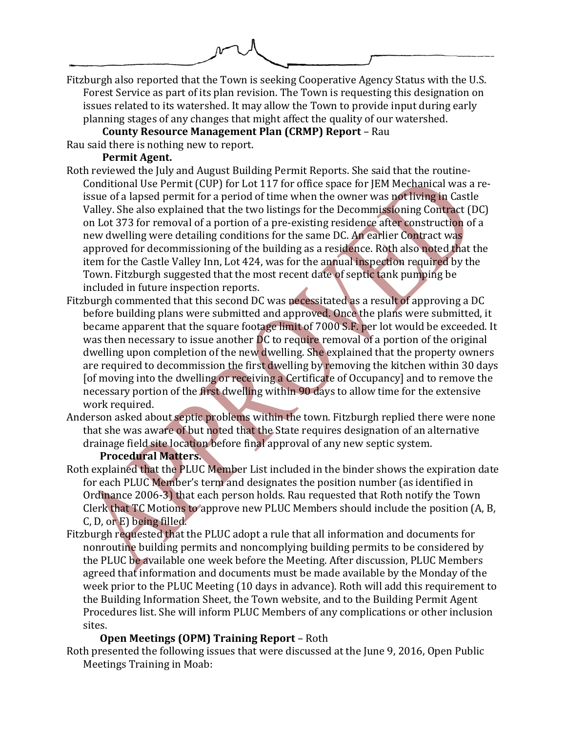Fitzburgh also reported that the Town is seeking Cooperative Agency Status with the U.S. Forest Service as part of its plan revision. The Town is requesting this designation on issues related to its watershed. It may allow the Town to provide input during early planning stages of any changes that might affect the quality of our watershed.

**County Resource Management Plan (CRMP) Report** – Rau Rau said there is nothing new to report.

## **Permit Agent.**

- Roth reviewed the July and August Building Permit Reports. She said that the routine-Conditional Use Permit (CUP) for Lot 117 for office space for JEM Mechanical was a reissue of a lapsed permit for a period of time when the owner was not living in Castle Valley. She also explained that the two listings for the Decommissioning Contract (DC) on Lot 373 for removal of a portion of a pre-existing residence after construction of a new dwelling were detailing conditions for the same DC. An earlier Contract was approved for decommissioning of the building as a residence. Roth also noted that the item for the Castle Valley Inn, Lot 424, was for the annual inspection required by the Town. Fitzburgh suggested that the most recent date of septic tank pumping be included in future inspection reports.
- Fitzburgh commented that this second DC was necessitated as a result of approving a DC before building plans were submitted and approved. Once the plans were submitted, it became apparent that the square footage limit of 7000 S.F. per lot would be exceeded. It was then necessary to issue another DC to require removal of a portion of the original dwelling upon completion of the new dwelling. She explained that the property owners are required to decommission the first dwelling by removing the kitchen within 30 days [of moving into the dwelling or receiving a Certificate of Occupancy] and to remove the necessary portion of the first dwelling within 90 days to allow time for the extensive work required.
- Anderson asked about septic problems within the town. Fitzburgh replied there were none that she was aware of but noted that the State requires designation of an alternative drainage field site location before final approval of any new septic system.

#### **Procedural Matters.**

- Roth explained that the PLUC Member List included in the binder shows the expiration date for each PLUC Member's term and designates the position number (as identified in Ordinance 2006-3) that each person holds. Rau requested that Roth notify the Town Clerk that TC Motions to approve new PLUC Members should include the position (A, B, C, D, or E) being filled.
- Fitzburgh requested that the PLUC adopt a rule that all information and documents for nonroutine building permits and noncomplying building permits to be considered by the PLUC be available one week before the Meeting. After discussion, PLUC Members agreed that information and documents must be made available by the Monday of the week prior to the PLUC Meeting (10 days in advance). Roth will add this requirement to the Building Information Sheet, the Town website, and to the Building Permit Agent Procedures list. She will inform PLUC Members of any complications or other inclusion sites.

# **Open Meetings (OPM) Training Report** – Roth

Roth presented the following issues that were discussed at the June 9, 2016, Open Public Meetings Training in Moab: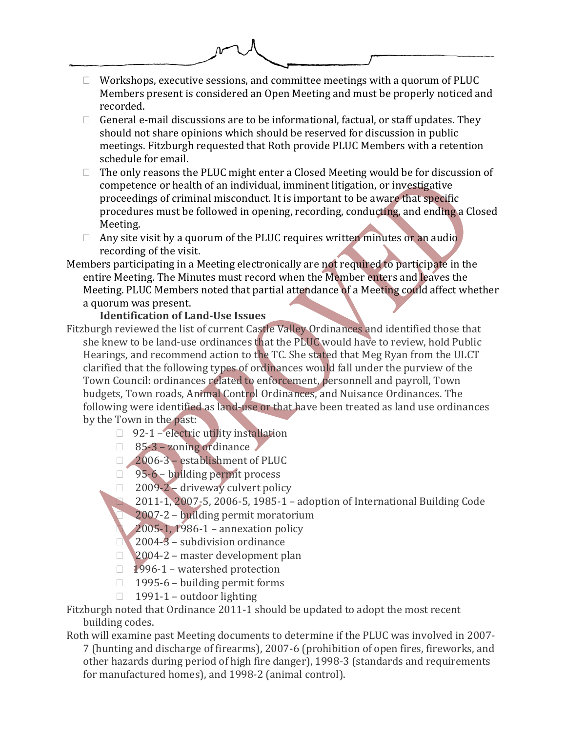

- $\Box$  General e-mail discussions are to be informational, factual, or staff updates. They should not share opinions which should be reserved for discussion in public meetings. Fitzburgh requested that Roth provide PLUC Members with a retention schedule for email.
- $\Box$  The only reasons the PLUC might enter a Closed Meeting would be for discussion of competence or health of an individual, imminent litigation, or investigative proceedings of criminal misconduct. It is important to be aware that specific procedures must be followed in opening, recording, conducting, and ending a Closed Meeting.
- $\Box$  Any site visit by a quorum of the PLUC requires written minutes or an audio recording of the visit.
- Members participating in a Meeting electronically are not required to participate in the entire Meeting. The Minutes must record when the Member enters and leaves the Meeting. PLUC Members noted that partial attendance of a Meeting could affect whether a quorum was present.

# **Identification of Land-Use Issues**

- Fitzburgh reviewed the list of current Castle Valley Ordinances and identified those that she knew to be land-use ordinances that the PLUC would have to review, hold Public Hearings, and recommend action to the TC. She stated that Meg Ryan from the ULCT clarified that the following types of ordinances would fall under the purview of the Town Council: ordinances related to enforcement, personnell and payroll, Town budgets, Town roads, Animal Control Ordinances, and Nuisance Ordinances. The following were identified as land-use or that have been treated as land use ordinances by the Town in the past:
	- $\Box$  92-1 electric utility installation
	- $\Box$  85-3 zoning ordinance
	- □ 2006-3 establishment of PLUC
	- $\Box$  95-6 building permit process
	- 2009-2 driveway culvert policy
		- 2011-1, 2007-5, 2006-5, 1985-1 adoption of International Building Code
		- 2007-2 building permit moratorium
		- 2005-1, 1986-1 annexation policy
	- 2004-3 subdivision ordinance
	- □ 2004-2 master development plan
	- $1996-1$  watershed protection
	- $\Box$  1995-6 building permit forms
	- $\Box$  1991-1 outdoor lighting

Fitzburgh noted that Ordinance 2011-1 should be updated to adopt the most recent building codes.

Roth will examine past Meeting documents to determine if the PLUC was involved in 2007- 7 (hunting and discharge of firearms), 2007-6 (prohibition of open fires, fireworks, and other hazards during period of high fire danger), 1998-3 (standards and requirements for manufactured homes), and 1998-2 (animal control).